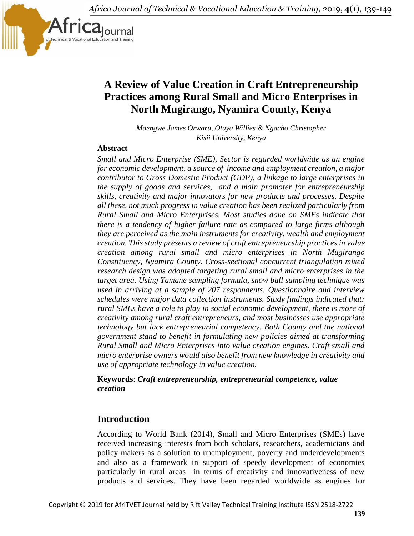*Africa Journal of Technical & Vocational Education & Training,* 2019, **4**(1), 139-149



# **A Review of Value Creation in Craft Entrepreneurship Practices among Rural Small and Micro Enterprises in North Mugirango, Nyamira County, Kenya**

*Maengwe James Orwaru, Otuya Willies & Ngacho Christopher Kisii University, Kenya*

#### **Abstract**

*Small and Micro Enterprise (SME), Sector is regarded worldwide as an engine for economic development, a source of income and employment creation, a major contributor to Gross Domestic Product (GDP), a linkage to large enterprises in the supply of goods and services, and a main promoter for entrepreneurship skills, creativity and major innovators for new products and processes. Despite all these, not much progress in value creation has been realized particularly from Rural Small and Micro Enterprises. Most studies done on SMEs indicate that there is a tendency of higher failure rate as compared to large firms although they are perceived as the main instruments for creativity, wealth and employment creation. This study presents a review of craft entrepreneurship practices in value creation among rural small and micro enterprises in North Mugirango Constituency, Nyamira County. Cross-sectional concurrent triangulation mixed research design was adopted targeting rural small and micro enterprises in the target area. Using Yamane sampling formula, snow ball sampling technique was used in arriving at a sample of 207 respondents. Questionnaire and interview schedules were major data collection instruments. Study findings indicated that: rural SMEs have a role to play in social economic development, there is more of creativity among rural craft entrepreneurs, and most businesses use appropriate technology but lack entrepreneurial competency. Both County and the national government stand to benefit in formulating new policies aimed at transforming Rural Small and Micro Enterprises into value creation engines. Craft small and micro enterprise owners would also benefit from new knowledge in creativity and use of appropriate technology in value creation.*

#### **Keywords**: *Craft entrepreneurship, entrepreneurial competence, value creation*

### **Introduction**

According to World Bank (2014), Small and Micro Enterprises (SMEs) have received increasing interests from both scholars, researchers, academicians and policy makers as a solution to unemployment, poverty and underdevelopments and also as a framework in support of speedy development of economies particularly in rural areas in terms of creativity and innovativeness of new products and services. They have been regarded worldwide as engines for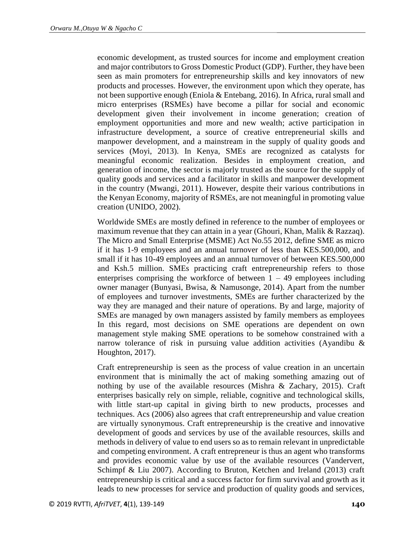economic development, as trusted sources for income and employment creation and major contributors to Gross Domestic Product (GDP). Further, they have been seen as main promoters for entrepreneurship skills and key innovators of new products and processes. However, the environment upon which they operate, has not been supportive enough (Eniola & Entebang, 2016). In Africa, rural small and micro enterprises (RSMEs) have become a pillar for social and economic development given their involvement in income generation; creation of employment opportunities and more and new wealth; active participation in infrastructure development, a source of creative entrepreneurial skills and manpower development, and a mainstream in the supply of quality goods and services (Moyi, 2013). In Kenya, SMEs are recognized as catalysts for meaningful economic realization. Besides in employment creation, and generation of income, the sector is majorly trusted as the source for the supply of quality goods and services and a facilitator in skills and manpower development in the country (Mwangi, 2011). However, despite their various contributions in the Kenyan Economy, majority of RSMEs, are not meaningful in promoting value creation (UNIDO, 2002).

Worldwide SMEs are mostly defined in reference to the number of employees or maximum revenue that they can attain in a year (Ghouri, Khan, Malik & Razzaq). The Micro and Small Enterprise (MSME) Act No.55 2012, define SME as micro if it has 1-9 employees and an annual turnover of less than KES.500,000, and small if it has 10-49 employees and an annual turnover of between KES.500,000 and Ksh.5 million. SMEs practicing craft entrepreneurship refers to those enterprises comprising the workforce of between  $1 - 49$  employees including owner manager (Bunyasi, Bwisa, & Namusonge, 2014). Apart from the number of employees and turnover investments, SMEs are further characterized by the way they are managed and their nature of operations. By and large, majority of SMEs are managed by own managers assisted by family members as employees In this regard, most decisions on SME operations are dependent on own management style making SME operations to be somehow constrained with a narrow tolerance of risk in pursuing value addition activities (Ayandibu  $\&$ Houghton, 2017).

Craft entrepreneurship is seen as the process of value creation in an uncertain environment that is minimally the act of making something amazing out of nothing by use of the available resources (Mishra & Zachary, 2015). Craft enterprises basically rely on simple, reliable, cognitive and technological skills, with little start-up capital in giving birth to new products, processes and techniques. Acs (2006) also agrees that craft entrepreneurship and value creation are virtually synonymous. Craft entrepreneurship is the creative and innovative development of goods and services by use of the available resources, skills and methods in delivery of value to end users so as to remain relevant in unpredictable and competing environment. A craft entrepreneur is thus an agent who transforms and provides economic value by use of the available resources (Vandervert, Schimpf & Liu 2007). According to Bruton, Ketchen and Ireland (2013) craft entrepreneurship is critical and a success factor for firm survival and growth as it leads to new processes for service and production of quality goods and services,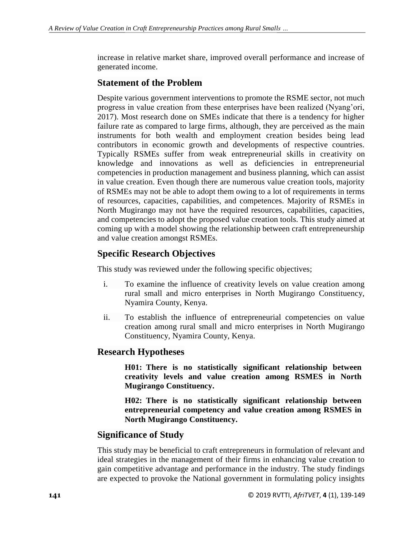increase in relative market share, improved overall performance and increase of generated income.

# **Statement of the Problem**

Despite various government interventions to promote the RSME sector, not much progress in value creation from these enterprises have been realized (Nyang'ori, 2017). Most research done on SMEs indicate that there is a tendency for higher failure rate as compared to large firms, although, they are perceived as the main instruments for both wealth and employment creation besides being lead contributors in economic growth and developments of respective countries. Typically RSMEs suffer from weak entrepreneurial skills in creativity on knowledge and innovations as well as deficiencies in entrepreneurial competencies in production management and business planning, which can assist in value creation. Even though there are numerous value creation tools, majority of RSMEs may not be able to adopt them owing to a lot of requirements in terms of resources, capacities, capabilities, and competences. Majority of RSMEs in North Mugirango may not have the required resources, capabilities, capacities, and competencies to adopt the proposed value creation tools. This study aimed at coming up with a model showing the relationship between craft entrepreneurship and value creation amongst RSMEs.

# **Specific Research Objectives**

This study was reviewed under the following specific objectives;

- i. To examine the influence of creativity levels on value creation among rural small and micro enterprises in North Mugirango Constituency, Nyamira County, Kenya.
- ii. To establish the influence of entrepreneurial competencies on value creation among rural small and micro enterprises in North Mugirango Constituency, Nyamira County, Kenya.

# **Research Hypotheses**

**H01: There is no statistically significant relationship between creativity levels and value creation among RSMES in North Mugirango Constituency.**

**H02: There is no statistically significant relationship between entrepreneurial competency and value creation among RSMES in North Mugirango Constituency.**

# **Significance of Study**

This study may be beneficial to craft entrepreneurs in formulation of relevant and ideal strategies in the management of their firms in enhancing value creation to gain competitive advantage and performance in the industry. The study findings are expected to provoke the National government in formulating policy insights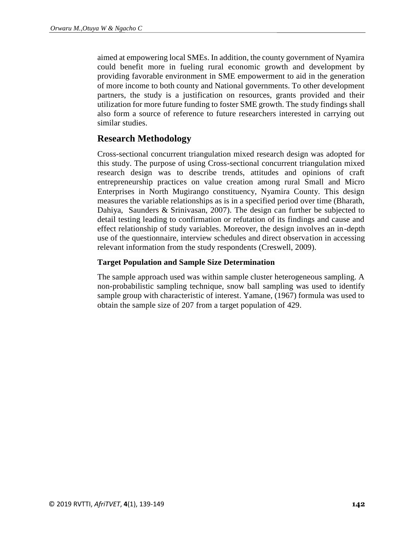aimed at empowering local SMEs. In addition, the county government of Nyamira could benefit more in fueling rural economic growth and development by providing favorable environment in SME empowerment to aid in the generation of more income to both county and National governments. To other development partners, the study is a justification on resources, grants provided and their utilization for more future funding to foster SME growth. The study findings shall also form a source of reference to future researchers interested in carrying out similar studies.

### **Research Methodology**

Cross-sectional concurrent triangulation mixed research design was adopted for this study. The purpose of using Cross-sectional concurrent triangulation mixed research design was to describe trends, attitudes and opinions of craft entrepreneurship practices on value creation among rural Small and Micro Enterprises in North Mugirango constituency, Nyamira County. This design measures the variable relationships as is in a specified period over time (Bharath, Dahiya, Saunders & Srinivasan, 2007). The design can further be subjected to detail testing leading to confirmation or refutation of its findings and cause and effect relationship of study variables. Moreover, the design involves an in-depth use of the questionnaire, interview schedules and direct observation in accessing relevant information from the study respondents (Creswell, 2009).

#### **Target Population and Sample Size Determination**

The sample approach used was within sample cluster heterogeneous sampling. A non-probabilistic sampling technique, snow ball sampling was used to identify sample group with characteristic of interest. Yamane, (1967) formula was used to obtain the sample size of 207 from a target population of 429.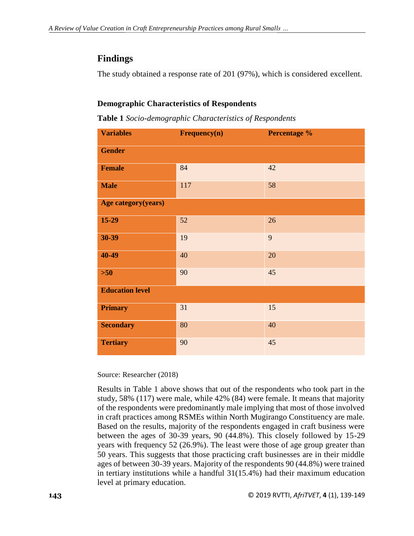# **Findings**

The study obtained a response rate of 201 (97%), which is considered excellent.

### **Demographic Characteristics of Respondents**

**Table 1** *Socio-demographic Characteristics of Respondents*

| <b>Variables</b>       | Frequency(n) | Percentage % |  |  |  |  |  |  |
|------------------------|--------------|--------------|--|--|--|--|--|--|
| <b>Gender</b>          |              |              |  |  |  |  |  |  |
| <b>Female</b>          | 84           | 42           |  |  |  |  |  |  |
| <b>Male</b>            | 117          | 58           |  |  |  |  |  |  |
| Age category(years)    |              |              |  |  |  |  |  |  |
| $15-29$                | 52           | 26           |  |  |  |  |  |  |
| $30 - 39$              | 19           | 9            |  |  |  |  |  |  |
| 40-49                  | 40           | 20           |  |  |  |  |  |  |
| $>50$                  | 90           | 45           |  |  |  |  |  |  |
| <b>Education level</b> |              |              |  |  |  |  |  |  |
| <b>Primary</b>         | 31           | 15           |  |  |  |  |  |  |
| <b>Secondary</b>       | 80           | 40           |  |  |  |  |  |  |
| <b>Tertiary</b>        | 90           | 45           |  |  |  |  |  |  |

Source: Researcher (2018)

Results in Table 1 above shows that out of the respondents who took part in the study, 58% (117) were male, while 42% (84) were female. It means that majority of the respondents were predominantly male implying that most of those involved in craft practices among RSMEs within North Mugirango Constituency are male. Based on the results, majority of the respondents engaged in craft business were between the ages of 30-39 years, 90 (44.8%). This closely followed by 15-29 years with frequency 52 (26.9%). The least were those of age group greater than 50 years. This suggests that those practicing craft businesses are in their middle ages of between 30-39 years. Majority of the respondents 90 (44.8%) were trained in tertiary institutions while a handful 31(15.4%) had their maximum education level at primary education.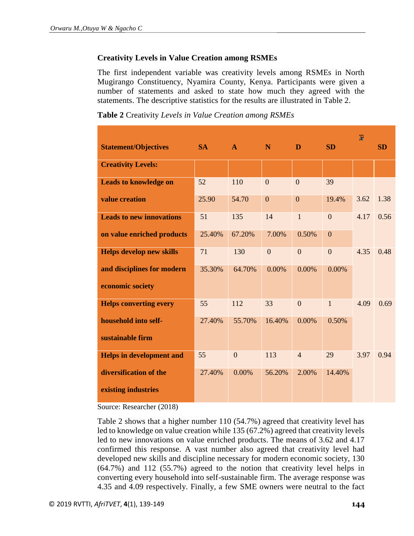#### **Creativity Levels in Value Creation among RSMEs**

The first independent variable was creativity levels among RSMEs in North Mugirango Constituency, Nyamira County, Kenya. Participants were given a number of statements and asked to state how much they agreed with the statements. The descriptive statistics for the results are illustrated in Table 2.

|  |  |  | Table 2 Creativity Levels in Value Creation among RSMEs |
|--|--|--|---------------------------------------------------------|
|--|--|--|---------------------------------------------------------|

| <b>Statement/Objectives</b>     | <b>SA</b> | $\mathbf{A}$   | N              | D              | <b>SD</b>      | $\overline{x}$ | <b>SD</b> |
|---------------------------------|-----------|----------------|----------------|----------------|----------------|----------------|-----------|
| <b>Creativity Levels:</b>       |           |                |                |                |                |                |           |
| <b>Leads to knowledge on</b>    | 52        | 110            | $\Omega$       | $\overline{0}$ | 39             |                |           |
| value creation                  | 25.90     | 54.70          | $\overline{0}$ | $\overline{0}$ | 19.4%          | 3.62           | 1.38      |
| <b>Leads to new innovations</b> | 51        | 135            | 14             | $\mathbf{1}$   | $\overline{0}$ | 4.17           | 0.56      |
| on value enriched products      | 25.40%    | 67.20%         | 7.00%          | 0.50%          | $\overline{0}$ |                |           |
| <b>Helps develop new skills</b> | 71        | 130            | $\overline{0}$ | $\overline{0}$ | $\theta$       | 4.35           | 0.48      |
| and disciplines for modern      | 35.30%    | 64.70%         | $0.00\%$       | 0.00%          | $0.00\%$       |                |           |
| economic society                |           |                |                |                |                |                |           |
| <b>Helps converting every</b>   | 55        | 112            | 33             | $\overline{0}$ | $\mathbf{1}$   | 4.09           | 0.69      |
| household into self-            | 27.40%    | 55.70%         | 16.40%         | 0.00%          | 0.50%          |                |           |
| sustainable firm                |           |                |                |                |                |                |           |
| <b>Helps in development and</b> | 55        | $\overline{0}$ | 113            | $\overline{4}$ | 29             | 3.97           | 0.94      |
| diversification of the          | 27.40%    | 0.00%          | 56.20%         | 2.00%          | 14.40%         |                |           |
| existing industries             |           |                |                |                |                |                |           |

Source: Researcher (2018)

Table 2 shows that a higher number 110 (54.7%) agreed that creativity level has led to knowledge on value creation while 135 (67.2%) agreed that creativity levels led to new innovations on value enriched products. The means of 3.62 and 4.17 confirmed this response. A vast number also agreed that creativity level had developed new skills and discipline necessary for modern economic society, 130 (64.7%) and 112 (55.7%) agreed to the notion that creativity level helps in converting every household into self-sustainable firm. The average response was 4.35 and 4.09 respectively. Finally, a few SME owners were neutral to the fact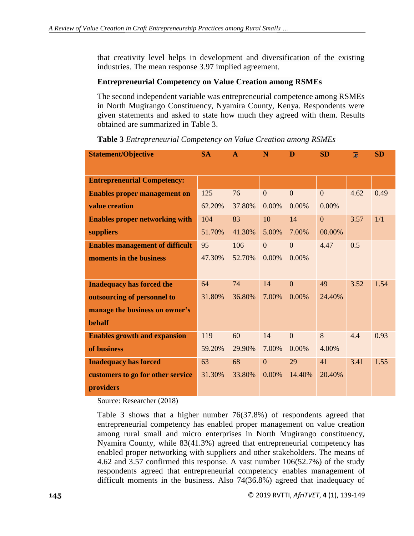that creativity level helps in development and diversification of the existing industries. The mean response 3.97 implied agreement.

#### **Entrepreneurial Competency on Value Creation among RSMEs**

The second independent variable was entrepreneurial competence among RSMEs in North Mugirango Constituency, Nyamira County, Kenya. Respondents were given statements and asked to state how much they agreed with them. Results obtained are summarized in Table 3.

| <b>Statement/Objective</b>             | <b>SA</b> | $\mathbf{A}$ | N              | D              | <b>SD</b>      | $\overline{x}$ | <b>SD</b> |
|----------------------------------------|-----------|--------------|----------------|----------------|----------------|----------------|-----------|
|                                        |           |              |                |                |                |                |           |
| <b>Entrepreneurial Competency:</b>     |           |              |                |                |                |                |           |
| <b>Enables proper management on</b>    | 125       | 76           | $\mathbf{0}$   | $\overline{0}$ | $\overline{0}$ | 4.62           | 0.49      |
| value creation                         | 62.20%    | 37.80%       | 0.00%          | 0.00%          | 0.00%          |                |           |
| <b>Enables proper networking with</b>  | 104       | 83           | 10             | 14             | $\mathbf{0}$   | 3.57           | 1/1       |
| suppliers                              | 51.70%    | 41.30%       | 5.00%          | 7.00%          | 00.00%         |                |           |
| <b>Enables management of difficult</b> | 95        | 106          | $\Omega$       | $\overline{0}$ | 4.47           | 0.5            |           |
| moments in the business                | 47.30%    | 52.70%       | $0.00\%$       | 0.00%          |                |                |           |
|                                        |           |              |                |                |                |                |           |
| <b>Inadequacy has forced the</b>       | 64        | 74           | 14             | $\Omega$       | 49             | 3.52           | 1.54      |
| outsourcing of personnel to            | 31.80%    | 36.80%       | 7.00%          | $0.00\%$       | 24.40%         |                |           |
| manage the business on owner's         |           |              |                |                |                |                |           |
| <b>behalf</b>                          |           |              |                |                |                |                |           |
| <b>Enables growth and expansion</b>    | 119       | 60           | 14             | $\overline{0}$ | 8              | 4.4            | 0.93      |
| of business                            | 59.20%    | 29.90%       | 7.00%          | $0.00\%$       | 4.00%          |                |           |
| <b>Inadequacy has forced</b>           | 63        | 68           | $\overline{0}$ | 29             | 41             | 3.41           | 1.55      |
| customers to go for other service      | 31.30%    | 33.80%       | $0.00\%$       | 14.40%         | 20.40%         |                |           |
| providers                              |           |              |                |                |                |                |           |

**Table 3** *Entrepreneurial Competency on Value Creation among RSMEs*

Source: Researcher (2018)

Table 3 shows that a higher number 76(37.8%) of respondents agreed that entrepreneurial competency has enabled proper management on value creation among rural small and micro enterprises in North Mugirango constituency, Nyamira County, while 83(41.3%) agreed that entrepreneurial competency has enabled proper networking with suppliers and other stakeholders. The means of 4.62 and 3.57 confirmed this response. A vast number 106(52.7%) of the study respondents agreed that entrepreneurial competency enables management of difficult moments in the business. Also 74(36.8%) agreed that inadequacy of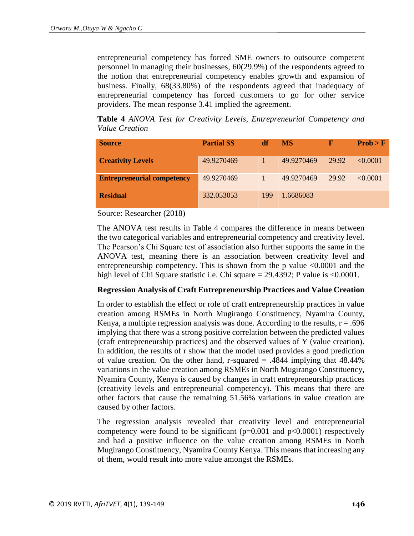entrepreneurial competency has forced SME owners to outsource competent personnel in managing their businesses, 60(29.9%) of the respondents agreed to the notion that entrepreneurial competency enables growth and expansion of business. Finally, 68(33.80%) of the respondents agreed that inadequacy of entrepreneurial competency has forced customers to go for other service providers. The mean response 3.41 implied the agreement.

**Table 4** *ANOVA Test for Creativity Levels, Entrepreneurial Competency and Value Creation*

| <b>Source</b>                     | <b>Partial SS</b> | df  | <b>MS</b>  | F     | Prob > F |
|-----------------------------------|-------------------|-----|------------|-------|----------|
| <b>Creativity Levels</b>          | 49.9270469        |     | 49.9270469 | 29.92 | < 0.0001 |
| <b>Entrepreneurial competency</b> | 49.9270469        |     | 49.9270469 | 29.92 | < 0.0001 |
| <b>Residual</b>                   | 332.053053        | 199 | 1.6686083  |       |          |

Source: Researcher (2018)

The ANOVA test results in Table 4 compares the difference in means between the two categorical variables and entrepreneurial competency and creativity level. The Pearson's Chi Square test of association also further supports the same in the ANOVA test, meaning there is an association between creativity level and entrepreneurship competency. This is shown from the p value  $\langle 0.0001 \rangle$  and the high level of Chi Square statistic i.e. Chi square = 29.4392; P value is <0.0001.

#### **Regression Analysis of Craft Entrepreneurship Practices and Value Creation**

In order to establish the effect or role of craft entrepreneurship practices in value creation among RSMEs in North Mugirango Constituency, Nyamira County, Kenya, a multiple regression analysis was done. According to the results,  $r = .696$ implying that there was a strong positive correlation between the predicted values (craft entrepreneurship practices) and the observed values of Y (value creation). In addition, the results of r show that the model used provides a good prediction of value creation. On the other hand, r-squared  $= .4844$  implying that 48.44% variations in the value creation among RSMEs in North Mugirango Constituency, Nyamira County, Kenya is caused by changes in craft entrepreneurship practices (creativity levels and entrepreneurial competency). This means that there are other factors that cause the remaining 51.56% variations in value creation are caused by other factors.

The regression analysis revealed that creativity level and entrepreneurial competency were found to be significant  $(p=0.001$  and  $p<0.0001)$  respectively and had a positive influence on the value creation among RSMEs in North Mugirango Constituency, Nyamira County Kenya. This means that increasing any of them, would result into more value amongst the RSMEs.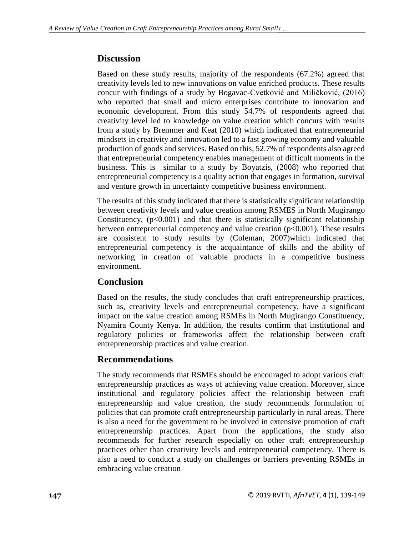### **Discussion**

Based on these study results, majority of the respondents (67.2%) agreed that creativity levels led to new innovations on value enriched products. These results concur with findings of a study by Bogavac-Cvetković and Miličković, (2016) who reported that small and micro enterprises contribute to innovation and economic development. From this study 54.7% of respondents agreed that creativity level led to knowledge on value creation which concurs with results from a study by Bremmer and Keat (2010) which indicated that entrepreneurial mindsets in creativity and innovation led to a fast growing economy and valuable production of goods and services. Based on this, 52.7% of respondents also agreed that entrepreneurial competency enables management of difficult moments in the business. This is similar to a study by Boyatzis, (2008) who reported that entrepreneurial competency is a quality action that engages in formation, survival and venture growth in uncertainty competitive business environment.

The results of this study indicated that there is statistically significant relationship between creativity levels and value creation among RSMES in North Mugirango Constituency,  $(p<0.001)$  and that there is statistically significant relationship between entrepreneurial competency and value creation (p<0.001). These results are consistent to study results by (Coleman, 2007)which indicated that entrepreneurial competency is the acquaintance of skills and the ability of networking in creation of valuable products in a competitive business environment.

# **Conclusion**

Based on the results, the study concludes that craft entrepreneurship practices, such as, creativity levels and entrepreneurial competency, have a significant impact on the value creation among RSMEs in North Mugirango Constituency, Nyamira County Kenya. In addition, the results confirm that institutional and regulatory policies or frameworks affect the relationship between craft entrepreneurship practices and value creation.

# **Recommendations**

The study recommends that RSMEs should be encouraged to adopt various craft entrepreneurship practices as ways of achieving value creation. Moreover, since institutional and regulatory policies affect the relationship between craft entrepreneurship and value creation, the study recommends formulation of policies that can promote craft entrepreneurship particularly in rural areas. There is also a need for the government to be involved in extensive promotion of craft entrepreneurship practices. Apart from the applications, the study also recommends for further research especially on other craft entrepreneurship practices other than creativity levels and entrepreneurial competency. There is also a need to conduct a study on challenges or barriers preventing RSMEs in embracing value creation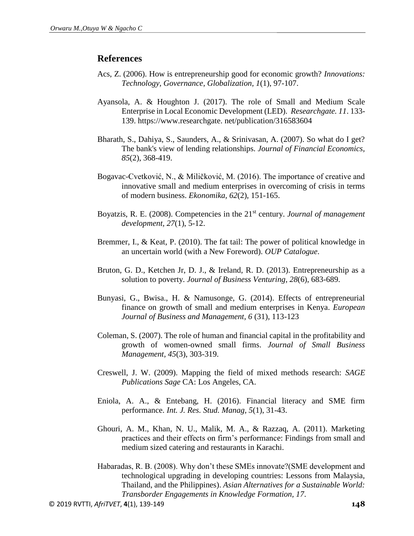#### **References**

- Acs, Z. (2006). How is entrepreneurship good for economic growth? *Innovations: Technology, Governance, Globalization, 1*(1), 97-107.
- Ayansola, A. & Houghton J. (2017). The role of Small and Medium Scale Enterprise in Local Economic Development (LED). *Researchgate. 11*. 133- 139. https://www.researchgate. net/publication/316583604
- Bharath, S., Dahiya, S., Saunders, A., & Srinivasan, A. (2007). So what do I get? The bank's view of lending relationships. *Journal of Financial Economics, 85*(2), 368-419.
- Bogavac-Cvetković, N., & Miličković, M. (2016). The importance of creative and innovative small and medium enterprises in overcoming of crisis in terms of modern business. *Ekonomika, 62*(2), 151-165.
- Boyatzis, R. E. (2008). Competencies in the 21st century. *Journal of management development, 27*(1), 5-12.
- Bremmer, I., & Keat, P. (2010). The fat tail: The power of political knowledge in an uncertain world (with a New Foreword). *OUP Catalogue*.
- Bruton, G. D., Ketchen Jr, D. J., & Ireland, R. D. (2013). Entrepreneurship as a solution to poverty. *Journal of Business Venturing, 28*(6), 683-689.
- Bunyasi, G., Bwisa., H. & Namusonge, G. (2014). Effects of entrepreneurial finance on growth of small and medium enterprises in Kenya. *European Journal of Business and Management, 6* (31), 113-123
- Coleman, S. (2007). The role of human and financial capital in the profitability and growth of women-owned small firms. *Journal of Small Business Management, 45*(3), 303-319.
- Creswell, J. W. (2009). Mapping the field of mixed methods research: *SAGE Publications Sage* CA: Los Angeles, CA.
- Eniola, A. A., & Entebang, H. (2016). Financial literacy and SME firm performance. *Int. J. Res. Stud. Manag, 5*(1), 31-43.
- Ghouri, A. M., Khan, N. U., Malik, M. A., & Razzaq, A. (2011). Marketing practices and their effects on firm's performance: Findings from small and medium sized catering and restaurants in Karachi.
- Habaradas, R. B. (2008). Why don't these SMEs innovate?(SME development and technological upgrading in developing countries: Lessons from Malaysia, Thailand, and the Philippines). *Asian Alternatives for a Sustainable World: Transborder Engagements in Knowledge Formation, 17*.